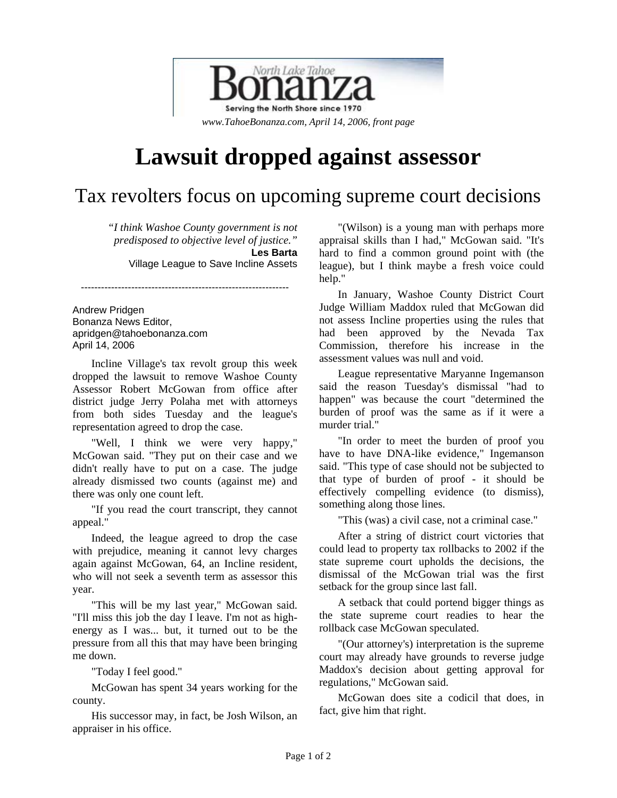

## **Lawsuit dropped against assessor**

## Tax revolters focus on upcoming supreme court decisions

*"I think Washoe County government is not predisposed to objective level of justice."*  **Les Barta**  Village League to Save Incline Assets

Andrew Pridgen Bonanza News Editor, apridgen@tahoebonanza.com April 14, 2006

Incline Village's tax revolt group this week dropped the lawsuit to remove Washoe County Assessor Robert McGowan from office after district judge Jerry Polaha met with attorneys from both sides Tuesday and the league's representation agreed to drop the case.

--------------------------------------------------------------

"Well, I think we were very happy," McGowan said. "They put on their case and we didn't really have to put on a case. The judge already dismissed two counts (against me) and there was only one count left.

"If you read the court transcript, they cannot appeal."

Indeed, the league agreed to drop the case with prejudice, meaning it cannot levy charges again against McGowan, 64, an Incline resident, who will not seek a seventh term as assessor this year.

"This will be my last year," McGowan said. "I'll miss this job the day I leave. I'm not as highenergy as I was... but, it turned out to be the pressure from all this that may have been bringing me down.

"Today I feel good."

McGowan has spent 34 years working for the county.

His successor may, in fact, be Josh Wilson, an appraiser in his office.

"(Wilson) is a young man with perhaps more appraisal skills than I had," McGowan said. "It's hard to find a common ground point with (the league), but I think maybe a fresh voice could help."

In January, Washoe County District Court Judge William Maddox ruled that McGowan did not assess Incline properties using the rules that had been approved by the Nevada Tax Commission, therefore his increase in the assessment values was null and void.

League representative Maryanne Ingemanson said the reason Tuesday's dismissal "had to happen" was because the court "determined the burden of proof was the same as if it were a murder trial."

"In order to meet the burden of proof you have to have DNA-like evidence," Ingemanson said. "This type of case should not be subjected to that type of burden of proof - it should be effectively compelling evidence (to dismiss), something along those lines.

"This (was) a civil case, not a criminal case."

After a string of district court victories that could lead to property tax rollbacks to 2002 if the state supreme court upholds the decisions, the dismissal of the McGowan trial was the first setback for the group since last fall.

A setback that could portend bigger things as the state supreme court readies to hear the rollback case McGowan speculated.

"(Our attorney's) interpretation is the supreme court may already have grounds to reverse judge Maddox's decision about getting approval for regulations," McGowan said.

McGowan does site a codicil that does, in fact, give him that right.